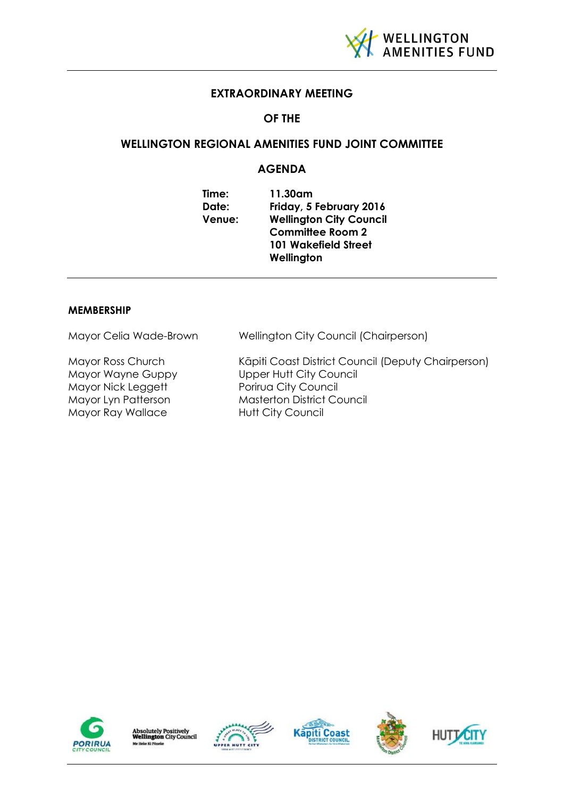

# **EXTRAORDINARY MEETING**

# **OF THE**

# **WELLINGTON REGIONAL AMENITIES FUND JOINT COMMITTEE**

# **AGENDA**

| Time:  | 11.30am                        |
|--------|--------------------------------|
| Date:  | Friday, 5 February 2016        |
| Venue: | <b>Wellington City Council</b> |
|        | <b>Committee Room 2</b>        |
|        | <b>101 Wakefield Street</b>    |
|        | Wellington                     |

## **MEMBERSHIP**

| Mayor Ross Church<br>Mayor Wayne Guppy<br><b>Upper Hutt City Council</b><br>Mayor Nick Leggett<br>Porirua City Council<br><b>Masterton District Council</b><br>Mayor Lyn Patterson | Mayor Celia Wade-Brown | Wellington City Council (Chairperson)                                          |
|------------------------------------------------------------------------------------------------------------------------------------------------------------------------------------|------------------------|--------------------------------------------------------------------------------|
|                                                                                                                                                                                    | Mayor Ray Wallace      | Kāpiti Coast District Council (Deputy Chairperson)<br><b>Hutt City Council</b> |









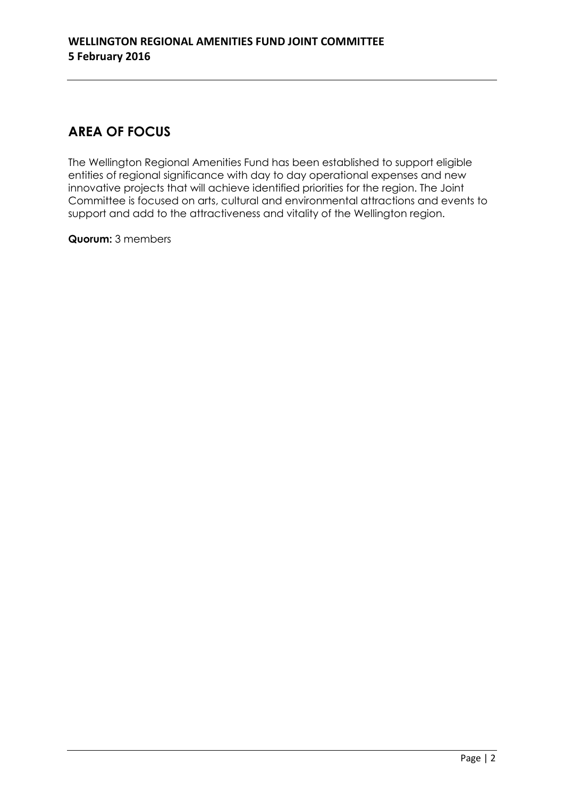# **AREA OF FOCUS**

The Wellington Regional Amenities Fund has been established to support eligible entities of regional significance with day to day operational expenses and new innovative projects that will achieve identified priorities for the region. The Joint Committee is focused on arts, cultural and environmental attractions and events to support and add to the attractiveness and vitality of the Wellington region.

**Quorum:** 3 members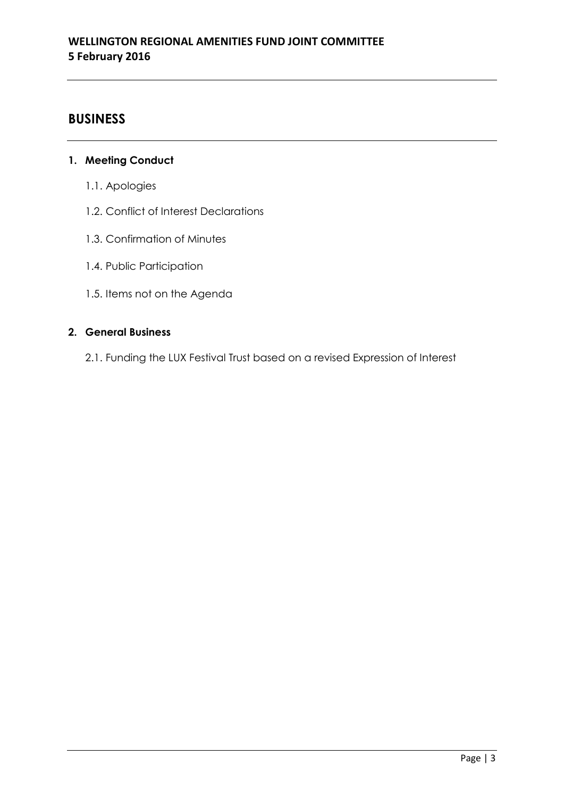# **BUSINESS**

# **1. Meeting Conduct**

- 1.1. Apologies
- 1.2. Conflict of Interest Declarations
- 1.3. Confirmation of Minutes
- 1.4. Public Participation
- 1.5. Items not on the Agenda

# **2. General Business**

2.1. Funding the LUX Festival Trust based on a revised Expression of Interest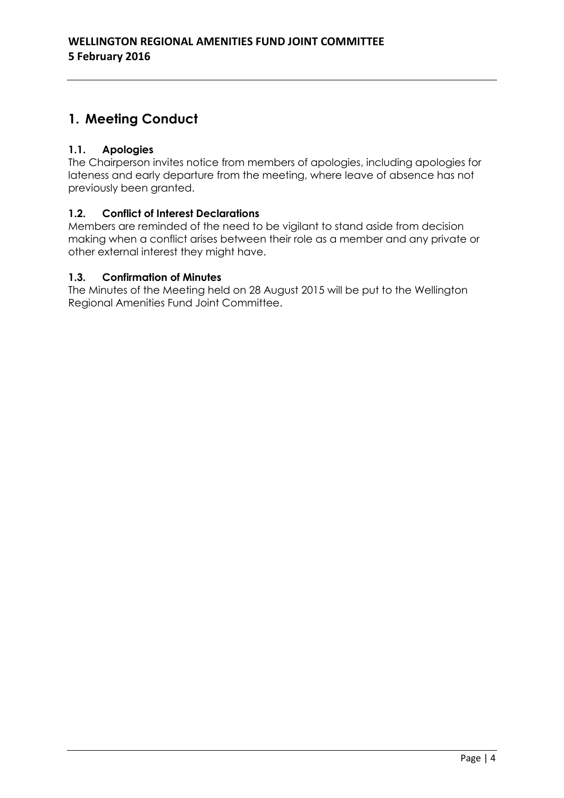# **1. Meeting Conduct**

# **1.1. Apologies**

The Chairperson invites notice from members of apologies, including apologies for lateness and early departure from the meeting, where leave of absence has not previously been granted.

# **1.2. Conflict of Interest Declarations**

Members are reminded of the need to be vigilant to stand aside from decision making when a conflict arises between their role as a member and any private or other external interest they might have.

# **1.3. Confirmation of Minutes**

The Minutes of the Meeting held on 28 August 2015 will be put to the Wellington Regional Amenities Fund Joint Committee.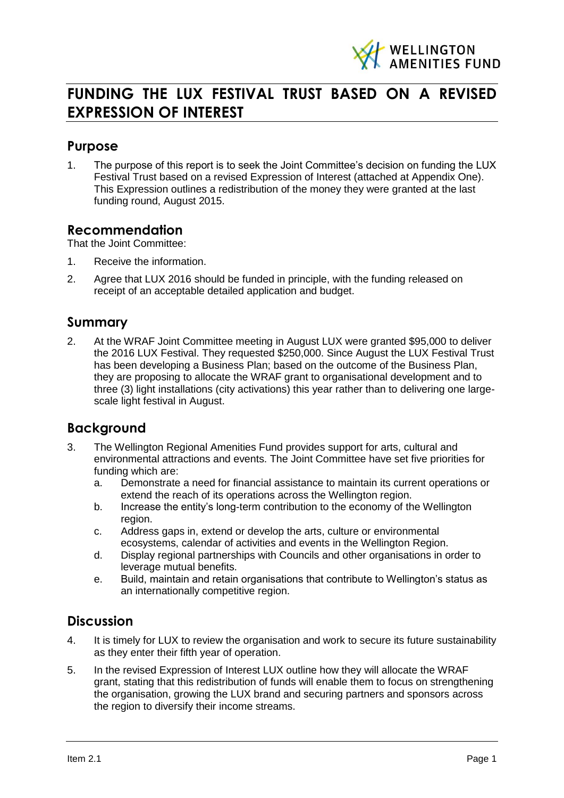

# **FUNDING THE LUX FESTIVAL TRUST BASED ON A REVISED EXPRESSION OF INTEREST**

# **Purpose**

1. The purpose of this report is to seek the Joint Committee's decision on funding the LUX Festival Trust based on a revised Expression of Interest (attached at Appendix One). This Expression outlines a redistribution of the money they were granted at the last funding round, August 2015.

# **Recommendation**

That the Joint Committee:

- 1. Receive the information.
- 2. Agree that LUX 2016 should be funded in principle, with the funding released on receipt of an acceptable detailed application and budget.

# **Summary**

2. At the WRAF Joint Committee meeting in August LUX were granted \$95,000 to deliver the 2016 LUX Festival. They requested \$250,000. Since August the LUX Festival Trust has been developing a Business Plan; based on the outcome of the Business Plan, they are proposing to allocate the WRAF grant to organisational development and to three (3) light installations (city activations) this year rather than to delivering one largescale light festival in August.

# **Background**

- 3. The Wellington Regional Amenities Fund provides support for arts, cultural and environmental attractions and events. The Joint Committee have set five priorities for funding which are:
	- a. Demonstrate a need for financial assistance to maintain its current operations or extend the reach of its operations across the Wellington region.
	- b. Increase the entity's long-term contribution to the economy of the Wellington region.
	- c. Address gaps in, extend or develop the arts, culture or environmental ecosystems, calendar of activities and events in the Wellington Region.
	- d. Display regional partnerships with Councils and other organisations in order to leverage mutual benefits.
	- e. Build, maintain and retain organisations that contribute to Wellington's status as an internationally competitive region.

# **Discussion**

- 4. It is timely for LUX to review the organisation and work to secure its future sustainability as they enter their fifth year of operation.
- 5. In the revised Expression of Interest LUX outline how they will allocate the WRAF grant, stating that this redistribution of funds will enable them to focus on strengthening the organisation, growing the LUX brand and securing partners and sponsors across the region to diversify their income streams.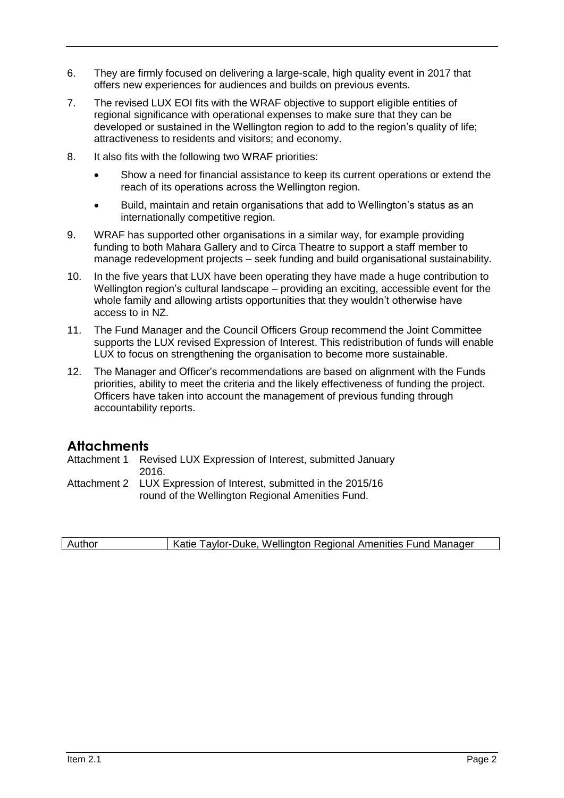- 6. They are firmly focused on delivering a large-scale, high quality event in 2017 that offers new experiences for audiences and builds on previous events.
- 7. The revised LUX EOI fits with the WRAF objective to support eligible entities of regional significance with operational expenses to make sure that they can be developed or sustained in the Wellington region to add to the region's quality of life; attractiveness to residents and visitors; and economy.
- 8. It also fits with the following two WRAF priorities:
	- Show a need for financial assistance to keep its current operations or extend the reach of its operations across the Wellington region.
	- Build, maintain and retain organisations that add to Wellington's status as an internationally competitive region.
- 9. WRAF has supported other organisations in a similar way, for example providing funding to both Mahara Gallery and to Circa Theatre to support a staff member to manage redevelopment projects – seek funding and build organisational sustainability.
- 10. In the five years that LUX have been operating they have made a huge contribution to Wellington region's cultural landscape – providing an exciting, accessible event for the whole family and allowing artists opportunities that they wouldn't otherwise have access to in NZ.
- 11. The Fund Manager and the Council Officers Group recommend the Joint Committee supports the LUX revised Expression of Interest. This redistribution of funds will enable LUX to focus on strengthening the organisation to become more sustainable.
- 12. The Manager and Officer's recommendations are based on alignment with the Funds priorities, ability to meet the criteria and the likely effectiveness of funding the project. Officers have taken into account the management of previous funding through accountability reports.

# **Attachments**

Attachment 1 Revised LUX Expression of Interest, submitted January 2016.

Attachment 2 LUX Expression of Interest, submitted in the 2015/16 round of the Wellington Regional Amenities Fund.

| Author | Katie Taylor-Duke, Wellington Regional Amenities Fund Manager |
|--------|---------------------------------------------------------------|
|        |                                                               |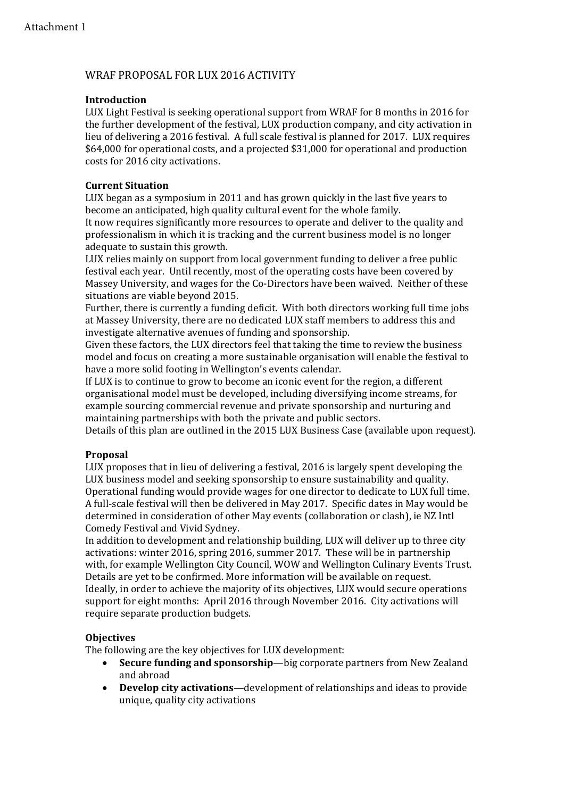# WRAF PROPOSAL FOR LUX 2016 ACTIVITY

## **Introduction**

LUX Light Festival is seeking operational support from WRAF for 8 months in 2016 for the further development of the festival, LUX production company, and city activation in lieu of delivering a 2016 festival. A full scale festival is planned for 2017. LUX requires \$64,000 for operational costs, and a projected \$31,000 for operational and production costs for 2016 city activations.

## **Current Situation**

LUX began as a symposium in 2011 and has grown quickly in the last five years to become an anticipated, high quality cultural event for the whole family.

It now requires significantly more resources to operate and deliver to the quality and professionalism in which it is tracking and the current business model is no longer adequate to sustain this growth.

LUX relies mainly on support from local government funding to deliver a free public festival each year. Until recently, most of the operating costs have been covered by Massey University, and wages for the Co-Directors have been waived. Neither of these situations are viable beyond 2015.

Further, there is currently a funding deficit. With both directors working full time jobs at Massey University, there are no dedicated LUX staff members to address this and investigate alternative avenues of funding and sponsorship.

Given these factors, the LUX directors feel that taking the time to review the business model and focus on creating a more sustainable organisation will enable the festival to have a more solid footing in Wellington's events calendar.

If LUX is to continue to grow to become an iconic event for the region, a different organisational model must be developed, including diversifying income streams, for example sourcing commercial revenue and private sponsorship and nurturing and maintaining partnerships with both the private and public sectors.

Details of this plan are outlined in the 2015 LUX Business Case (available upon request).

## **Proposal**

LUX proposes that in lieu of delivering a festival, 2016 is largely spent developing the LUX business model and seeking sponsorship to ensure sustainability and quality. Operational funding would provide wages for one director to dedicate to LUX full time. A full-scale festival will then be delivered in May 2017. Specific dates in May would be determined in consideration of other May events (collaboration or clash), ie NZ Intl Comedy Festival and Vivid Sydney.

In addition to development and relationship building, LUX will deliver up to three city activations: winter 2016, spring 2016, summer 2017. These will be in partnership with, for example Wellington City Council, WOW and Wellington Culinary Events Trust. Details are yet to be confirmed. More information will be available on request. Ideally, in order to achieve the majority of its objectives, LUX would secure operations support for eight months: April 2016 through November 2016. City activations will require separate production budgets.

## **Objectives**

The following are the key objectives for LUX development:

- **Secure funding and sponsorship**—big corporate partners from New Zealand and abroad
- **Develop city activations—**development of relationships and ideas to provide unique, quality city activations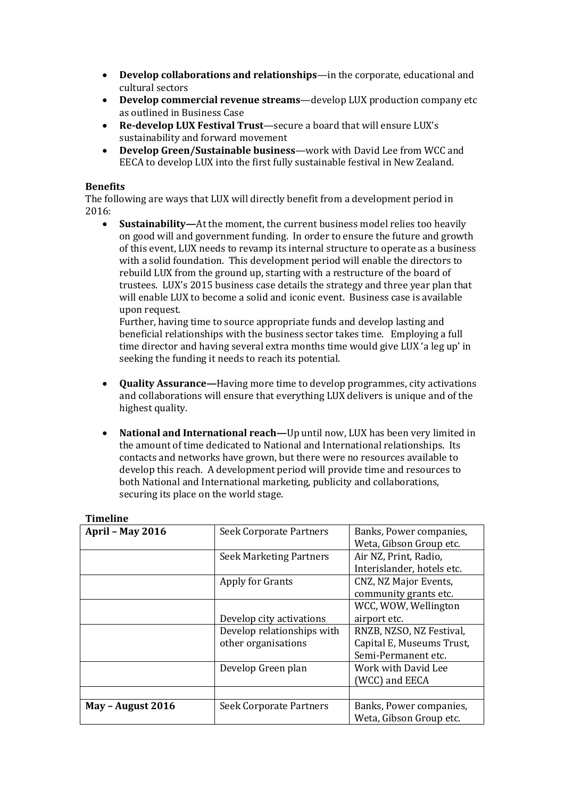- **Develop collaborations and relationships**—in the corporate, educational and cultural sectors
- **Develop commercial revenue streams**—develop LUX production company etc as outlined in Business Case
- **Re-develop LUX Festival Trust**—secure a board that will ensure LUX's sustainability and forward movement
- **Develop Green/Sustainable business**—work with David Lee from WCC and EECA to develop LUX into the first fully sustainable festival in New Zealand.

### **Benefits**

The following are ways that LUX will directly benefit from a development period in 2016:

 **Sustainability—**At the moment, the current business model relies too heavily on good will and government funding. In order to ensure the future and growth of this event, LUX needs to revamp its internal structure to operate as a business with a solid foundation. This development period will enable the directors to rebuild LUX from the ground up, starting with a restructure of the board of trustees. LUX's 2015 business case details the strategy and three year plan that will enable LUX to become a solid and iconic event. Business case is available upon request.

Further, having time to source appropriate funds and develop lasting and beneficial relationships with the business sector takes time. Employing a full time director and having several extra months time would give LUX 'a leg up' in seeking the funding it needs to reach its potential.

- **Quality Assurance—**Having more time to develop programmes, city activations and collaborations will ensure that everything LUX delivers is unique and of the highest quality.
- **National and International reach—**Up until now, LUX has been very limited in the amount of time dedicated to National and International relationships.Its contacts and networks have grown, but there were no resources available to develop this reach. A development period will provide time and resources to both National and International marketing, publicity and collaborations, securing its place on the world stage.

| <b>April - May 2016</b> | Seek Corporate Partners        | Banks, Power companies,    |
|-------------------------|--------------------------------|----------------------------|
|                         |                                | Weta, Gibson Group etc.    |
|                         | <b>Seek Marketing Partners</b> | Air NZ, Print, Radio,      |
|                         |                                | Interislander, hotels etc. |
|                         | Apply for Grants               | CNZ, NZ Major Events,      |
|                         |                                | community grants etc.      |
|                         |                                | WCC, WOW, Wellington       |
|                         | Develop city activations       | airport etc.               |
|                         | Develop relationships with     | RNZB, NZSO, NZ Festival,   |
|                         | other organisations            | Capital E, Museums Trust,  |
|                         |                                | Semi-Permanent etc.        |
|                         | Develop Green plan             | Work with David Lee        |
|                         |                                | WCC) and EECA              |
|                         |                                |                            |
| May - August 2016       | Seek Corporate Partners        | Banks, Power companies,    |
|                         |                                | Weta, Gibson Group etc.    |

### **Timeline**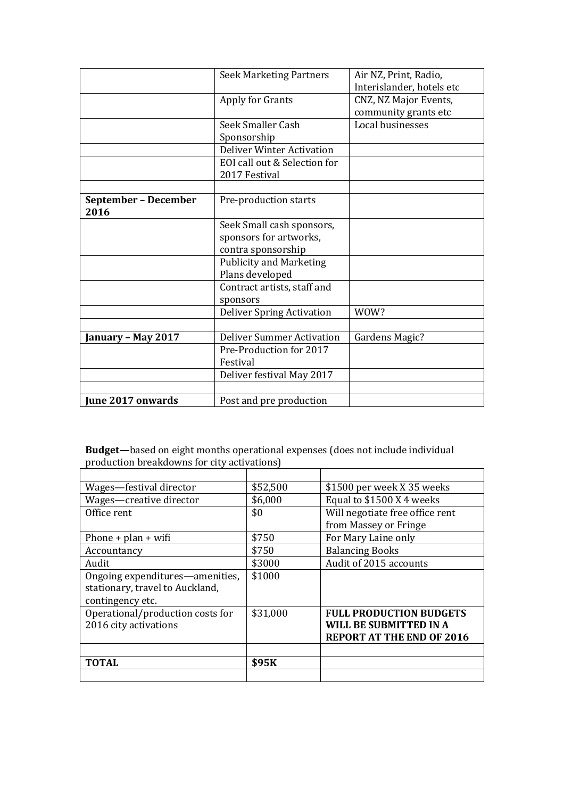|                                     | <b>Seek Marketing Partners</b>                                            | Air NZ, Print, Radio,<br>Interislander, hotels etc |
|-------------------------------------|---------------------------------------------------------------------------|----------------------------------------------------|
|                                     | Apply for Grants                                                          | CNZ, NZ Major Events,<br>community grants etc      |
|                                     | Seek Smaller Cash<br>Sponsorship                                          | Local businesses                                   |
|                                     | <b>Deliver Winter Activation</b><br>EOI call out & Selection for          |                                                    |
|                                     | 2017 Festival                                                             |                                                    |
| <b>September - December</b><br>2016 | Pre-production starts                                                     |                                                    |
|                                     | Seek Small cash sponsors,<br>sponsors for artworks,<br>contra sponsorship |                                                    |
|                                     | <b>Publicity and Marketing</b><br>Plans developed                         |                                                    |
|                                     | Contract artists, staff and<br>sponsors                                   |                                                    |
|                                     | <b>Deliver Spring Activation</b>                                          | WOW?                                               |
| January – May 2017                  | <b>Deliver Summer Activation</b><br>Pre-Production for 2017<br>Festival   | Gardens Magic?                                     |
|                                     | Deliver festival May 2017                                                 |                                                    |
| <b>June 2017 onwards</b>            | Post and pre production                                                   |                                                    |

**Budget—**based on eight months operational expenses (does not include individual production breakdowns for city activations)

| Wages-festival director          | \$52,500 | \$1500 per week X 35 weeks       |  |
|----------------------------------|----------|----------------------------------|--|
| Wages-creative director          | \$6,000  | Equal to \$1500 X 4 weeks        |  |
| Office rent                      | \$0      | Will negotiate free office rent  |  |
|                                  |          | from Massey or Fringe            |  |
| Phone + $plan + wifi$            | \$750    | For Mary Laine only              |  |
| Accountancy                      | \$750    | <b>Balancing Books</b>           |  |
| Audit                            | \$3000   | Audit of 2015 accounts           |  |
| Ongoing expenditures—amenities,  | \$1000   |                                  |  |
| stationary, travel to Auckland,  |          |                                  |  |
| contingency etc.                 |          |                                  |  |
| Operational/production costs for | \$31,000 | <b>FULL PRODUCTION BUDGETS</b>   |  |
| 2016 city activations            |          | WILL BE SUBMITTED IN A           |  |
|                                  |          | <b>REPORT AT THE END OF 2016</b> |  |
|                                  |          |                                  |  |
| <b>TOTAL</b>                     | \$95K    |                                  |  |
|                                  |          |                                  |  |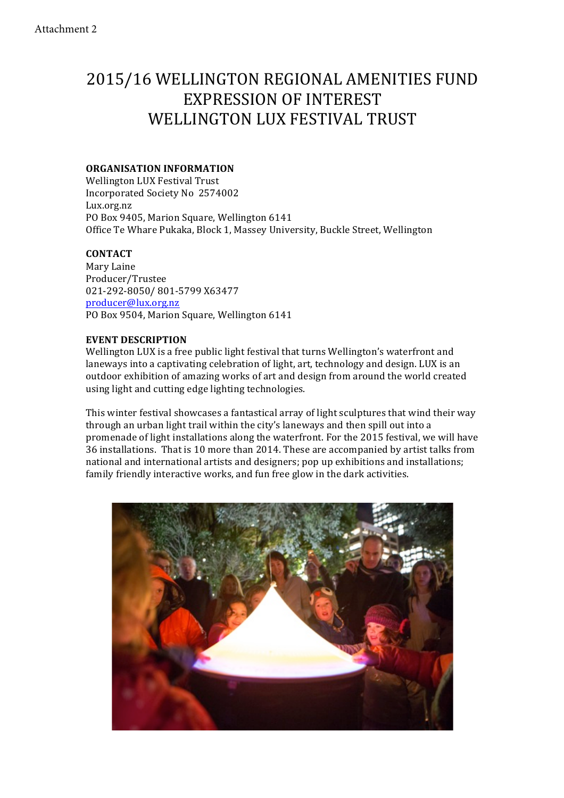# 2015/16 WELLINGTON REGIONAL AMENITIES FUND EXPRESSION OF INTEREST WELLINGTON LUX FESTIVAL TRUST

### **ORGANISATION INFORMATION**

Wellington LUX Festival Trust Incorporated Society No 2574002 Lux.org.nz PO Box 9405, Marion Square, Wellington 6141 Office Te Whare Pukaka, Block 1, Massey University, Buckle Street, Wellington

## **CONTACT**

Mary Laine Producer/Trustee 021-292-8050/ 801-5799 X63477 producer@lux.org.nz PO Box 9504, Marion Square, Wellington 6141

#### **EVENT DESCRIPTION**

Wellington LUX is a free public light festival that turns Wellington's waterfront and laneways into a captivating celebration of light, art, technology and design. LUX is an outdoor exhibition of amazing works of art and design from around the world created using light and cutting edge lighting technologies.

This winter festival showcases a fantastical array of light sculptures that wind their way through an urban light trail within the city's laneways and then spill out into a promenade of light installations along the waterfront. For the 2015 festival, we will have 36 installations. That is 10 more than 2014. These are accompanied by artist talks from national and international artists and designers; pop up exhibitions and installations; family friendly interactive works, and fun free glow in the dark activities.

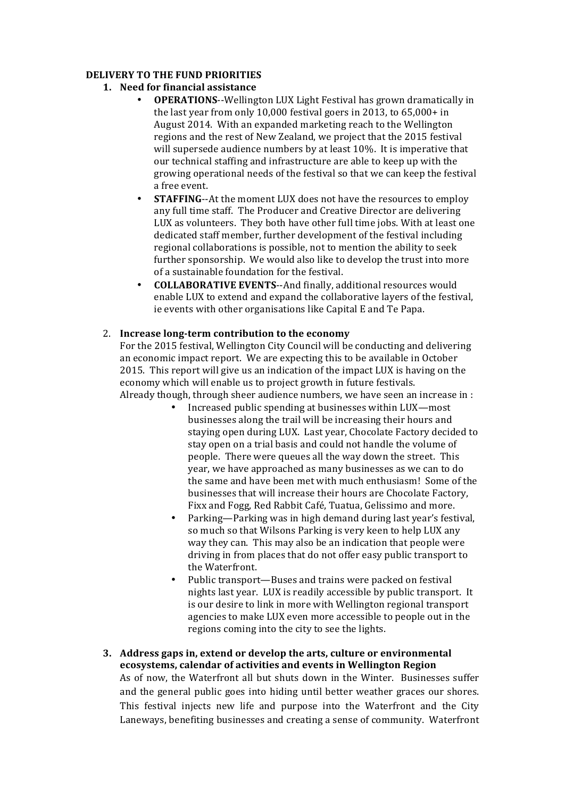## **DELIVERY TO THE FUND PRIORITIES**

- **1. Need for financial assistance**
	- **OPERATIONS--Wellington LUX Light Festival has grown dramatically in** the last year from only 10,000 festival goers in 2013, to  $65,000+$  in August 2014. With an expanded marketing reach to the Wellington regions and the rest of New Zealand, we project that the 2015 festival will supersede audience numbers by at least 10%. It is imperative that our technical staffing and infrastructure are able to keep up with the growing operational needs of the festival so that we can keep the festival a free event.
	- **STAFFING--At the moment LUX does not have the resources to employ** any full time staff. The Producer and Creative Director are delivering LUX as volunteers. They both have other full time jobs. With at least one dedicated staff member, further development of the festival including regional collaborations is possible, not to mention the ability to seek further sponsorship. We would also like to develop the trust into more of a sustainable foundation for the festival.
	- **COLLABORATIVE EVENTS--And finally, additional resources would** enable LUX to extend and expand the collaborative layers of the festival, ie events with other organisations like Capital E and Te Papa.

## 2. **Increase long-term contribution to the economy**

For the 2015 festival, Wellington City Council will be conducting and delivering an economic impact report. We are expecting this to be available in October 2015. This report will give us an indication of the impact LUX is having on the economy which will enable us to project growth in future festivals. Already though, through sheer audience numbers, we have seen an increase in :

- Increased public spending at businesses within LUX—most businesses along the trail will be increasing their hours and staying open during LUX. Last year, Chocolate Factory decided to stay open on a trial basis and could not handle the volume of people. There were queues all the way down the street. This year, we have approached as many businesses as we can to do the same and have been met with much enthusiasm! Some of the businesses that will increase their hours are Chocolate Factory, Fixx and Fogg, Red Rabbit Café, Tuatua, Gelissimo and more.
- Parking—Parking was in high demand during last year's festival. so much so that Wilsons Parking is very keen to help LUX any way they can. This may also be an indication that people were driving in from places that do not offer easy public transport to the Waterfront.
- Public transport—Buses and trains were packed on festival nights last year. LUX is readily accessible by public transport. It is our desire to link in more with Wellington regional transport agencies to make LUX even more accessible to people out in the regions coming into the city to see the lights.
- **3.** Address gaps in, extend or develop the arts, culture or environmental **ecosystems, calendar of activities and events in Wellington Region** As of now, the Waterfront all but shuts down in the Winter. Businesses suffer and the general public goes into hiding until better weather graces our shores. This festival injects new life and purpose into the Waterfront and the City Laneways, benefiting businesses and creating a sense of community. Waterfront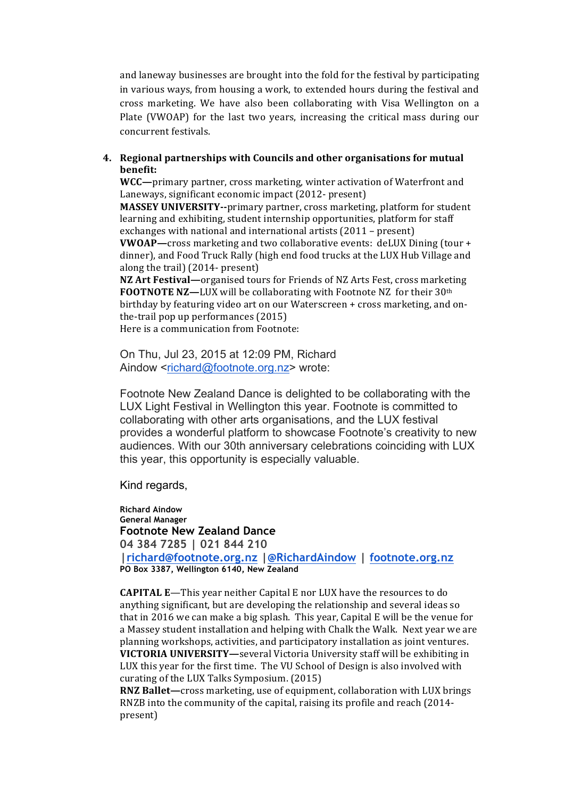and laneway businesses are brought into the fold for the festival by participating in various ways, from housing a work, to extended hours during the festival and cross marketing. We have also been collaborating with Visa Wellington on a Plate (VWOAP) for the last two years, increasing the critical mass during our concurrent festivals.

### **4.** Regional partnerships with Councils and other organisations for mutual **benefit:**

**WCC**—primary partner, cross marketing, winter activation of Waterfront and Laneways, significant economic impact (2012- present)

**MASSEY UNIVERSITY--**primary partner, cross marketing, platform for student learning and exhibiting, student internship opportunities, platform for staff exchanges with national and international artists  $(2011 - present)$ 

**VWOAP**—cross marketing and two collaborative events: deLUX Dining (tour + dinner), and Food Truck Rally (high end food trucks at the LUX Hub Village and along the trail) (2014- present)

**NZ Art Festival—**organised tours for Friends of NZ Arts Fest, cross marketing **FOOTNOTE NZ—LUX** will be collaborating with Footnote NZ for their 30<sup>th</sup> birthday by featuring video art on our Waterscreen + cross marketing, and onthe-trail pop up performances  $(2015)$ 

Here is a communication from Footnote:

On Thu, Jul 23, 2015 at 12:09 PM, Richard Aindow <richard@footnote.org.nz> wrote:

Footnote New Zealand Dance is delighted to be collaborating with the LUX Light Festival in Wellington this year. Footnote is committed to collaborating with other arts organisations, and the LUX festival provides a wonderful platform to showcase Footnote's creativity to new audiences. With our 30th anniversary celebrations coinciding with LUX this year, this opportunity is especially valuable.

Kind regards,

**Richard Aindow General Manager Footnote New Zealand Dance 04 384 7285 | 021 844 210 |richard@footnote.org.nz |@RichardAindow | footnote.org.nz PO Box 3387, Wellington 6140, New Zealand**

**CAPITAL E**—This year neither Capital E nor LUX have the resources to do anything significant, but are developing the relationship and several ideas so that in 2016 we can make a big splash. This year, Capital E will be the venue for a Massey student installation and helping with Chalk the Walk. Next year we are planning workshops, activities, and participatory installation as joint ventures. **VICTORIA UNIVERSITY—**several Victoria University staff will be exhibiting in LUX this year for the first time. The VU School of Design is also involved with curating of the LUX Talks Symposium. (2015)

**RNZ Ballet—**cross marketing, use of equipment, collaboration with LUX brings RNZB into the community of the capital, raising its profile and reach (2014present)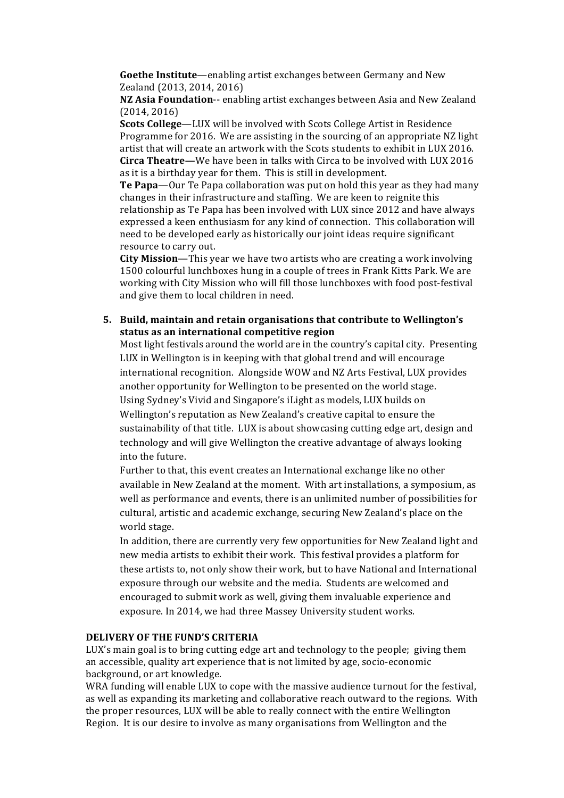**Goethe Institute**—enabling artist exchanges between Germany and New Zealand (2013, 2014, 2016)

**NZ Asia Foundation--** enabling artist exchanges between Asia and New Zealand  $(2014, 2016)$ 

**Scots College—LUX** will be involved with Scots College Artist in Residence Programme for 2016. We are assisting in the sourcing of an appropriate  $NZ$  light artist that will create an artwork with the Scots students to exhibit in LUX 2016. **Circa Theatre—**We have been in talks with Circa to be involved with LUX 2016 as it is a birthday vear for them. This is still in development.

**Te Papa**—Our Te Papa collaboration was put on hold this year as they had many changes in their infrastructure and staffing. We are keen to reignite this relationship as Te Papa has been involved with LUX since 2012 and have always expressed a keen enthusiasm for any kind of connection. This collaboration will need to be developed early as historically our joint ideas require significant resource to carry out.

**City Mission**—This year we have two artists who are creating a work involving 1500 colourful lunchboxes hung in a couple of trees in Frank Kitts Park. We are working with City Mission who will fill those lunchboxes with food post-festival and give them to local children in need.

### **5.** Build, maintain and retain organisations that contribute to Wellington's **status as an international competitive region**

Most light festivals around the world are in the country's capital city. Presenting LUX in Wellington is in keeping with that global trend and will encourage international recognition. Alongside WOW and NZ Arts Festival, LUX provides another opportunity for Wellington to be presented on the world stage. Using Sydney's Vivid and Singapore's iLight as models, LUX builds on Wellington's reputation as New Zealand's creative capital to ensure the sustainability of that title. LUX is about showcasing cutting edge art, design and technology and will give Wellington the creative advantage of always looking into the future.

Further to that, this event creates an International exchange like no other available in New Zealand at the moment. With art installations, a symposium, as well as performance and events, there is an unlimited number of possibilities for cultural, artistic and academic exchange, securing New Zealand's place on the world stage.

In addition, there are currently very few opportunities for New Zealand light and new media artists to exhibit their work. This festival provides a platform for these artists to, not only show their work, but to have National and International exposure through our website and the media. Students are welcomed and encouraged to submit work as well, giving them invaluable experience and exposure. In 2014, we had three Massey University student works.

## **DELIVERY OF THE FUND'S CRITERIA**

LUX's main goal is to bring cutting edge art and technology to the people; giving them an accessible, quality art experience that is not limited by age, socio-economic background, or art knowledge.

WRA funding will enable LUX to cope with the massive audience turnout for the festival, as well as expanding its marketing and collaborative reach outward to the regions. With the proper resources, LUX will be able to really connect with the entire Wellington Region. It is our desire to involve as many organisations from Wellington and the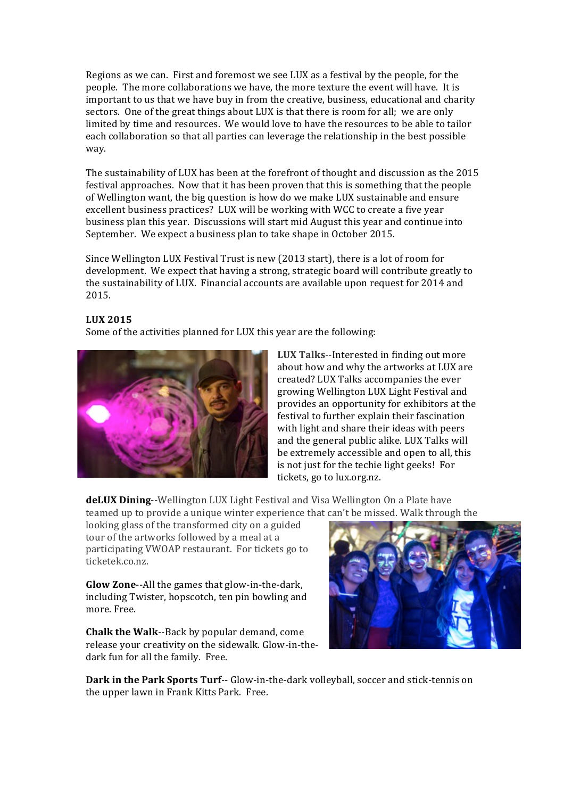Regions as we can. First and foremost we see LUX as a festival by the people, for the people. The more collaborations we have, the more texture the event will have. It is important to us that we have buy in from the creative, business, educational and charity sectors. One of the great things about LUX is that there is room for all; we are only limited by time and resources. We would love to have the resources to be able to tailor each collaboration so that all parties can leverage the relationship in the best possible way.

The sustainability of LUX has been at the forefront of thought and discussion as the 2015 festival approaches. Now that it has been proven that this is something that the people of Wellington want, the big question is how do we make LUX sustainable and ensure excellent business practices? LUX will be working with WCC to create a five year business plan this year. Discussions will start mid August this year and continue into September. We expect a business plan to take shape in October 2015.

Since Wellington LUX Festival Trust is new (2013 start), there is a lot of room for development. We expect that having a strong, strategic board will contribute greatly to the sustainability of LUX. Financial accounts are available upon request for 2014 and 2015.

### **LUX 2015**

Some of the activities planned for LUX this year are the following:



**LUX Talks--Interested in finding out more** about how and why the artworks at LUX are created? LUX Talks accompanies the ever growing Wellington LUX Light Festival and provides an opportunity for exhibitors at the festival to further explain their fascination with light and share their ideas with peers and the general public alike. LUX Talks will be extremely accessible and open to all, this is not just for the techie light geeks! For tickets, go to lux.org.nz.

**deLUX Dining--**Wellington LUX Light Festival and Visa Wellington On a Plate have teamed up to provide a unique winter experience that can't be missed. Walk through the

looking glass of the transformed city on a guided tour of the artworks followed by a meal at a participating VWOAP restaurant. For tickets go to ticketek.co.nz.

**Glow Zone--All the games that glow-in-the-dark,** including Twister, hopscotch, ten pin bowling and more. Free.

**Chalk the Walk--Back by popular demand, come** release your creativity on the sidewalk. Glow-in-thedark fun for all the family. Free.



**Dark in the Park Sports Turf--** Glow-in-the-dark volleyball, soccer and stick-tennis on the upper lawn in Frank Kitts Park. Free.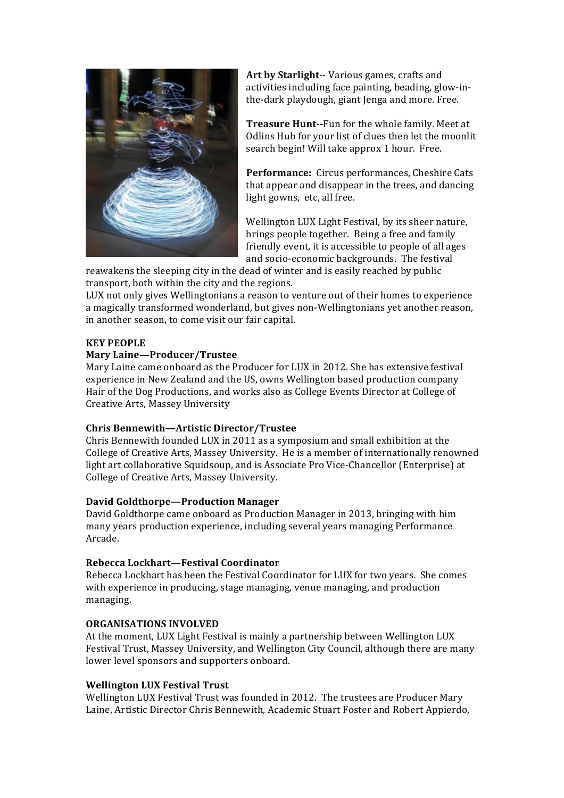

Art by Starlight-- Various games, crafts and activities including face painting, beading, glow-inthe-dark playdough, giant Jenga and more. Free.

**Treasure Hunt--Fun for the whole family. Meet at** Odlins Hub for your list of clues then let the moonlit search begin! Will take approx 1 hour. Free.

**Performance:** Circus performances, Cheshire Cats that appear and disappear in the trees, and dancing light gowns, etc, all free.

Wellington LUX Light Festival, by its sheer nature, brings people together. Being a free and family friendly event, it is accessible to people of all ages and socio-economic backgrounds. The festival

reawakens the sleeping city in the dead of winter and is easily reached by public transport, both within the city and the regions.

LUX not only gives Wellingtonians a reason to venture out of their homes to experience a magically transformed wonderland, but gives non-Wellingtonians yet another reason, in another season, to come visit our fair capital.

## **KEY PEOPLE**

### **Mary Laine—Producer/Trustee**

Mary Laine came onboard as the Producer for LUX in 2012. She has extensive festival experience in New Zealand and the US, owns Wellington based production company Hair of the Dog Productions, and works also as College Events Director at College of Creative Arts, Massey University

### **Chris Bennewith—Artistic Director/Trustee**

Chris Bennewith founded LUX in 2011 as a symposium and small exhibition at the College of Creative Arts, Massey University. He is a member of internationally renowned light art collaborative Squidsoup, and is Associate Pro Vice-Chancellor (Enterprise) at College of Creative Arts, Massey University.

### **David Goldthorpe—Production Manager**

David Goldthorpe came onboard as Production Manager in 2013, bringing with him many years production experience, including several years managing Performance Arcade.

### **Rebecca Lockhart—Festival Coordinator**

Rebecca Lockhart has been the Festival Coordinator for LUX for two years. She comes with experience in producing, stage managing, venue managing, and production managing.

### **ORGANISATIONS INVOLVED**

At the moment, LUX Light Festival is mainly a partnership between Wellington LUX Festival Trust, Massey University, and Wellington City Council, although there are many lower level sponsors and supporters onboard.

### **Wellington LUX Festival Trust**

Wellington LUX Festival Trust was founded in 2012. The trustees are Producer Mary Laine, Artistic Director Chris Bennewith, Academic Stuart Foster and Robert Appierdo,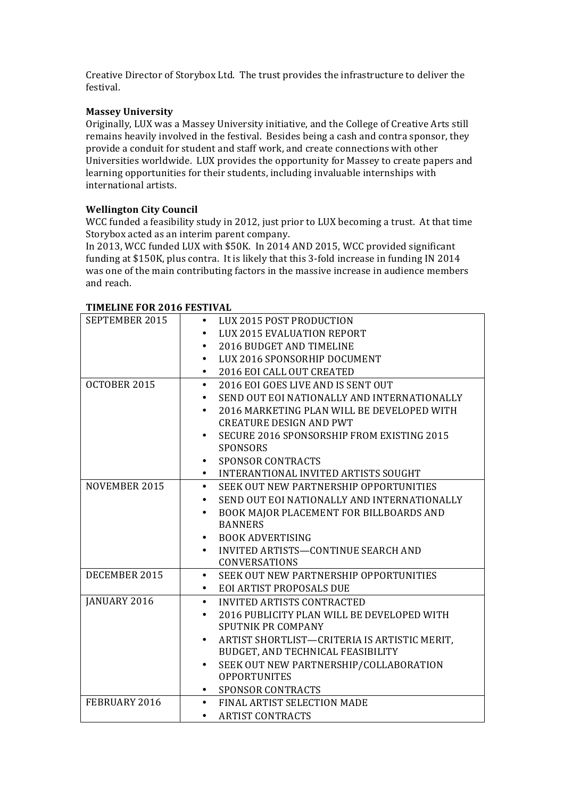Creative Director of Storybox Ltd. The trust provides the infrastructure to deliver the festival.

### **Massey University**

Originally, LUX was a Massey University initiative, and the College of Creative Arts still remains heavily involved in the festival. Besides being a cash and contra sponsor, they provide a conduit for student and staff work, and create connections with other Universities worldwide. LUX provides the opportunity for Massey to create papers and learning opportunities for their students, including invaluable internships with international artists.

## **Wellington City Council**

WCC funded a feasibility study in 2012, just prior to LUX becoming a trust. At that time Storybox acted as an interim parent company.

In 2013, WCC funded LUX with \$50K. In 2014 AND 2015, WCC provided significant funding at \$150K, plus contra. It is likely that this 3-fold increase in funding IN 2014 was one of the main contributing factors in the massive increase in audience members and reach.

| SEPTEMBER 2015 | LUX 2015 POST PRODUCTION<br>$\bullet$               |
|----------------|-----------------------------------------------------|
|                | <b>LUX 2015 EVALUATION REPORT</b>                   |
|                | 2016 BUDGET AND TIMELINE                            |
|                | LUX 2016 SPONSORHIP DOCUMENT<br>٠                   |
|                | 2016 EOI CALL OUT CREATED<br>٠                      |
| OCTOBER 2015   | 2016 EOI GOES LIVE AND IS SENT OUT                  |
|                | SEND OUT EOI NATIONALLY AND INTERNATIONALLY         |
|                | 2016 MARKETING PLAN WILL BE DEVELOPED WITH          |
|                | <b>CREATURE DESIGN AND PWT</b>                      |
|                | SECURE 2016 SPONSORSHIP FROM EXISTING 2015<br>٠     |
|                | <b>SPONSORS</b>                                     |
|                | <b>SPONSOR CONTRACTS</b>                            |
|                | INTERANTIONAL INVITED ARTISTS SOUGHT                |
| NOVEMBER 2015  | SEEK OUT NEW PARTNERSHIP OPPORTUNITIES<br>$\bullet$ |
|                | SEND OUT EOI NATIONALLY AND INTERNATIONALLY<br>٠    |
|                | BOOK MAJOR PLACEMENT FOR BILLBOARDS AND<br>٠        |
|                | <b>BANNERS</b>                                      |
|                | <b>BOOK ADVERTISING</b>                             |
|                | INVITED ARTISTS-CONTINUE SEARCH AND                 |
|                | <b>CONVERSATIONS</b>                                |
| DECEMBER 2015  | SEEK OUT NEW PARTNERSHIP OPPORTUNITIES<br>$\bullet$ |
|                | <b>EOI ARTIST PROPOSALS DUE</b><br>٠                |
| JANUARY 2016   | <b>INVITED ARTISTS CONTRACTED</b><br>$\bullet$      |
|                | 2016 PUBLICITY PLAN WILL BE DEVELOPED WITH          |
|                | SPUTNIK PR COMPANY                                  |
|                | ARTIST SHORTLIST-CRITERIA IS ARTISTIC MERIT,<br>٠   |
|                | BUDGET, AND TECHNICAL FEASIBILITY                   |
|                | SEEK OUT NEW PARTNERSHIP/COLLABORATION              |
|                | <b>OPPORTUNITES</b>                                 |
|                | <b>SPONSOR CONTRACTS</b>                            |
| FEBRUARY 2016  | FINAL ARTIST SELECTION MADE<br>$\bullet$            |
|                | <b>ARTIST CONTRACTS</b><br>٠                        |

### **TIMELINE FOR 2016 FESTIVAL**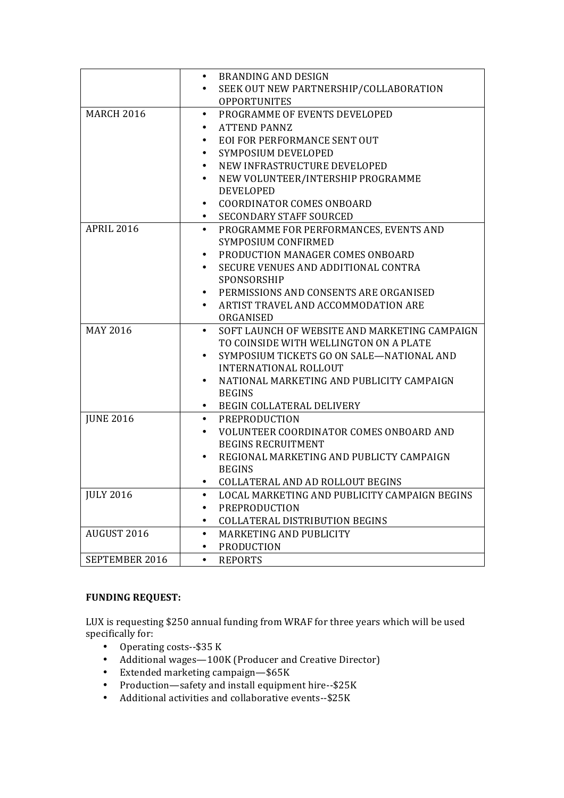|                   | <b>BRANDING AND DESIGN</b><br>٠                       |  |  |
|-------------------|-------------------------------------------------------|--|--|
|                   | SEEK OUT NEW PARTNERSHIP/COLLABORATION<br>٠           |  |  |
|                   | <b>OPPORTUNITES</b>                                   |  |  |
| <b>MARCH 2016</b> | PROGRAMME OF EVENTS DEVELOPED<br>٠                    |  |  |
|                   | <b>ATTEND PANNZ</b><br>٠                              |  |  |
|                   | EOI FOR PERFORMANCE SENT OUT                          |  |  |
|                   | SYMPOSIUM DEVELOPED                                   |  |  |
|                   | NEW INFRASTRUCTURE DEVELOPED<br>٠                     |  |  |
|                   | NEW VOLUNTEER/INTERSHIP PROGRAMME<br>٠                |  |  |
|                   | <b>DEVELOPED</b>                                      |  |  |
|                   | <b>COORDINATOR COMES ONBOARD</b><br>$\bullet$         |  |  |
|                   | <b>SECONDARY STAFF SOURCED</b>                        |  |  |
| <b>APRIL 2016</b> | PROGRAMME FOR PERFORMANCES, EVENTS AND<br>$\bullet$   |  |  |
|                   | SYMPOSIUM CONFIRMED                                   |  |  |
|                   | PRODUCTION MANAGER COMES ONBOARD<br>$\bullet$         |  |  |
|                   | SECURE VENUES AND ADDITIONAL CONTRA                   |  |  |
|                   | SPONSORSHIP                                           |  |  |
|                   | PERMISSIONS AND CONSENTS ARE ORGANISED<br>٠           |  |  |
|                   | ARTIST TRAVEL AND ACCOMMODATION ARE<br>$\bullet$      |  |  |
|                   | ORGANISED                                             |  |  |
| <b>MAY 2016</b>   | SOFT LAUNCH OF WEBSITE AND MARKETING CAMPAIGN<br>٠    |  |  |
|                   | TO COINSIDE WITH WELLINGTON ON A PLATE                |  |  |
|                   | SYMPOSIUM TICKETS GO ON SALE-NATIONAL AND             |  |  |
|                   | <b>INTERNATIONAL ROLLOUT</b>                          |  |  |
|                   | NATIONAL MARKETING AND PUBLICITY CAMPAIGN             |  |  |
|                   | <b>BEGINS</b>                                         |  |  |
|                   | BEGIN COLLATERAL DELIVERY<br>٠                        |  |  |
| <b>JUNE 2016</b>  | PREPRODUCTION<br>$\bullet$                            |  |  |
|                   | <b>VOLUNTEER COORDINATOR COMES ONBOARD AND</b>        |  |  |
|                   | <b>BEGINS RECRUITMENT</b>                             |  |  |
|                   | REGIONAL MARKETING AND PUBLICTY CAMPAIGN<br>$\bullet$ |  |  |
|                   | <b>BEGINS</b>                                         |  |  |
|                   | COLLATERAL AND AD ROLLOUT BEGINS                      |  |  |
| <b>JULY 2016</b>  | LOCAL MARKETING AND PUBLICITY CAMPAIGN BEGINS         |  |  |
|                   | PREPRODUCTION<br>٠                                    |  |  |
|                   | <b>COLLATERAL DISTRIBUTION BEGINS</b><br>$\bullet$    |  |  |
| AUGUST 2016       | MARKETING AND PUBLICITY<br>$\bullet$                  |  |  |
|                   | <b>PRODUCTION</b><br>٠                                |  |  |
| SEPTEMBER 2016    | <b>REPORTS</b><br>$\bullet$                           |  |  |

# **FUNDING REQUEST:**

LUX is requesting \$250 annual funding from WRAF for three years which will be used specifically for:

- Operating costs--\$35 K
- Additional wages—100K (Producer and Creative Director)
- Extended marketing campaign—\$65K
- Production—safety and install equipment hire-- $$25K$
- Additional activities and collaborative events--\$25K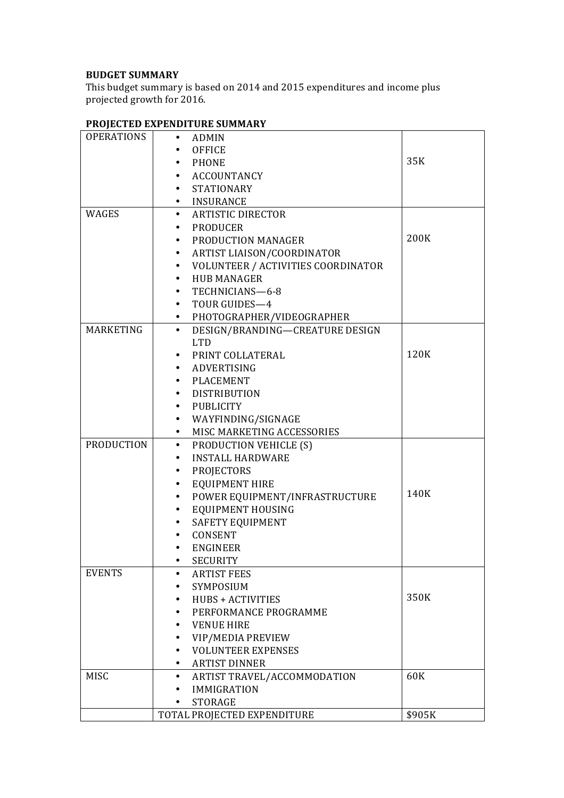### **BUDGET SUMMARY**

This budget summary is based on 2014 and 2015 expenditures and income plus projected growth for 2016.

|                   | TROJECTED EAT ENDITONE SOMMINI                  |        |
|-------------------|-------------------------------------------------|--------|
| <b>OPERATIONS</b> | • ADMIN                                         |        |
|                   | <b>OFFICE</b>                                   |        |
|                   | • PHONE                                         | 35K    |
|                   | • ACCOUNTANCY                                   |        |
|                   | • STATIONARY                                    |        |
|                   | · INSURANCE                                     |        |
| WAGES             | • ARTISTIC DIRECTOR                             |        |
|                   | • PRODUCER                                      |        |
|                   | PRODUCTION MANAGER                              | 200K   |
|                   | ARTIST LIAISON/COORDINATOR<br>$\bullet$         |        |
|                   | VOLUNTEER / ACTIVITIES COORDINATOR<br>$\bullet$ |        |
|                   | HUB MANAGER<br>$\bullet$                        |        |
|                   |                                                 |        |
|                   | TECHNICIANS-6-8                                 |        |
|                   | • TOUR GUIDES-4                                 |        |
|                   | • PHOTOGRAPHER/VIDEOGRAPHER                     |        |
| MARKETING         | DESIGN/BRANDING-CREATURE DESIGN<br>$\bullet$    |        |
|                   | <b>LTD</b>                                      |        |
|                   | • PRINT COLLATERAL                              | 120K   |
|                   | · ADVERTISING                                   |        |
|                   | · PLACEMENT                                     |        |
|                   | • DISTRIBUTION                                  |        |
|                   | • PUBLICITY                                     |        |
|                   | • WAYFINDING/SIGNAGE                            |        |
|                   | MISC MARKETING ACCESSORIES<br>$\bullet$         |        |
| <b>PRODUCTION</b> | • PRODUCTION VEHICLE (S)                        |        |
|                   | <b>INSTALL HARDWARE</b><br>$\bullet$            |        |
|                   | PROJECTORS<br>$\bullet$                         |        |
|                   | <b>EQUIPMENT HIRE</b><br>$\bullet$              |        |
|                   | POWER EQUIPMENT/INFRASTRUCTURE<br>$\bullet$     | 140K   |
|                   | EQUIPMENT HOUSING<br>$\bullet$                  |        |
|                   | SAFETY EQUIPMENT<br>$\bullet$                   |        |
|                   | CONSENT                                         |        |
|                   | <b>ENGINEER</b>                                 |        |
|                   | <b>SECURITY</b><br>٠                            |        |
| <b>EVENTS</b>     | <b>ARTIST FEES</b><br>$\bullet$                 |        |
|                   | SYMPOSIUM                                       |        |
|                   | <b>HUBS + ACTIVITIES</b><br>٠                   | 350K   |
|                   | PERFORMANCE PROGRAMME<br>٠                      |        |
|                   | <b>VENUE HIRE</b><br>٠                          |        |
|                   | VIP/MEDIA PREVIEW                               |        |
|                   | <b>VOLUNTEER EXPENSES</b>                       |        |
|                   |                                                 |        |
|                   | <b>ARTIST DINNER</b><br>٠                       |        |
| MISC              | ARTIST TRAVEL/ACCOMMODATION<br>٠                | 60K    |
|                   | <b>IMMIGRATION</b>                              |        |
|                   | <b>STORAGE</b><br>٠                             |        |
|                   | TOTAL PROJECTED EXPENDITURE                     | \$905K |

# **PROJECTED EXPENDITURE SUMMARY**